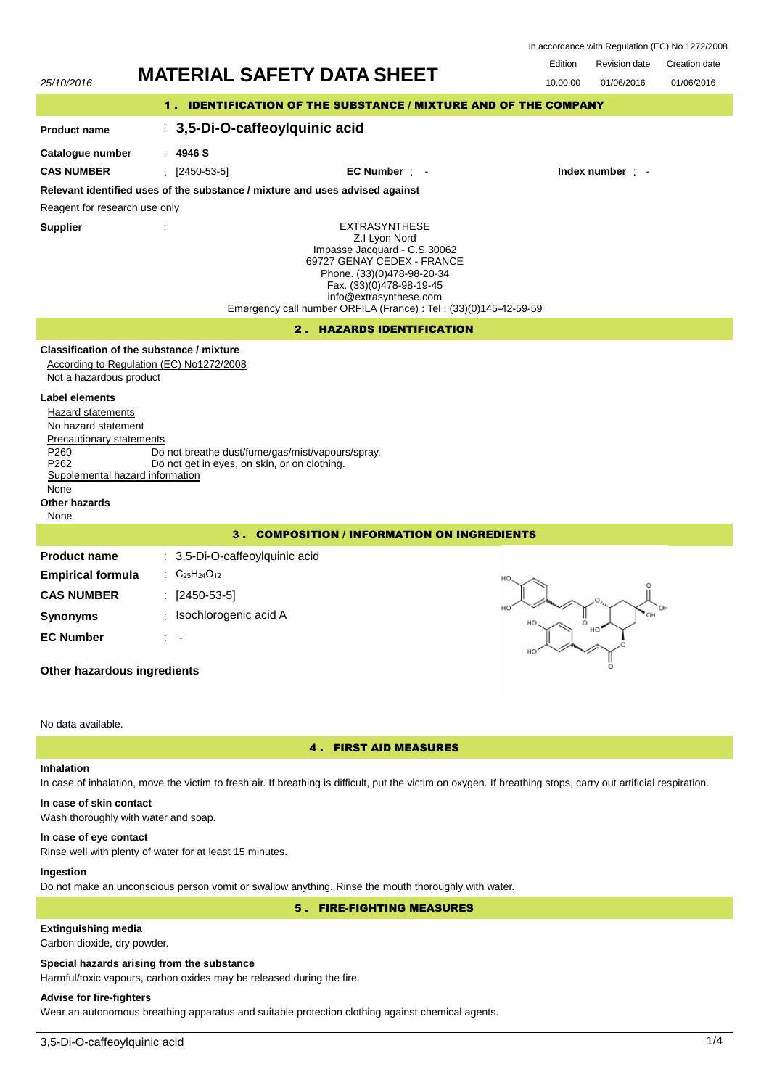| In accordance with Regulation (EC) No 1272/2008 |  |
|-------------------------------------------------|--|
|-------------------------------------------------|--|



# **In case of skin contact**

Wash thoroughly with water and soap.

#### **In case of eye contact**

Rinse well with plenty of water for at least 15 minutes.

## **Ingestion**

Do not make an unconscious person vomit or swallow anything. Rinse the mouth thoroughly with water.

5 . FIRE-FIGHTING MEASURES

# **Extinguishing media**

Carbon dioxide, dry powder.

#### **Special hazards arising from the substance**

Harmful/toxic vapours, carbon oxides may be released during the fire.

# **Advise for fire-fighters**

Wear an autonomous breathing apparatus and suitable protection clothing against chemical agents.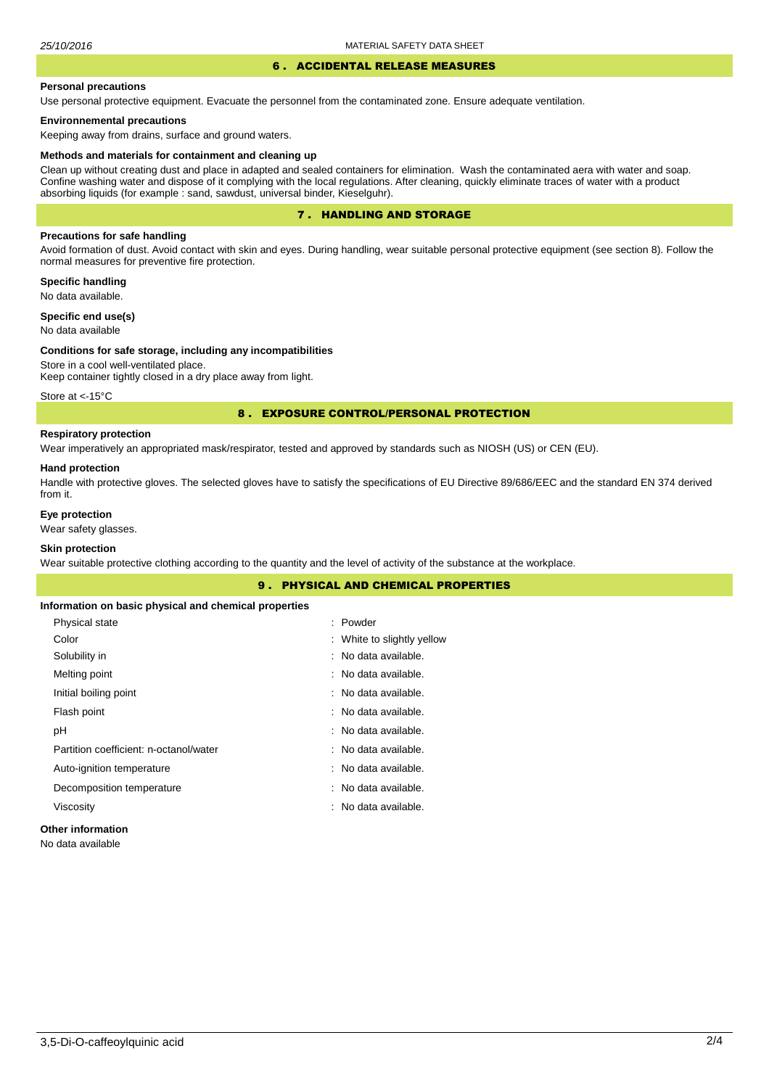#### 6 . ACCIDENTAL RELEASE MEASURES

#### **Personal precautions**

Use personal protective equipment. Evacuate the personnel from the contaminated zone. Ensure adequate ventilation.

#### **Environnemental precautions**

Keeping away from drains, surface and ground waters.

#### **Methods and materials for containment and cleaning up**

Clean up without creating dust and place in adapted and sealed containers for elimination. Wash the contaminated aera with water and soap. Confine washing water and dispose of it complying with the local regulations. After cleaning, quickly eliminate traces of water with a product absorbing liquids (for example : sand, sawdust, universal binder, Kieselguhr).

# 7 . HANDLING AND STORAGE

## **Precautions for safe handling**

Avoid formation of dust. Avoid contact with skin and eyes. During handling, wear suitable personal protective equipment (see section 8). Follow the normal measures for preventive fire protection.

**Specific handling** No data available.

**Specific end use(s)**

# No data available

#### **Conditions for safe storage, including any incompatibilities**

Store in a cool well-ventilated place. Keep container tightly closed in a dry place away from light.

Store at <-15°C

## 8 . EXPOSURE CONTROL/PERSONAL PROTECTION

## **Respiratory protection**

Wear imperatively an appropriated mask/respirator, tested and approved by standards such as NIOSH (US) or CEN (EU).

#### **Hand protection**

Handle with protective gloves. The selected gloves have to satisfy the specifications of EU Directive 89/686/EEC and the standard EN 374 derived from it.

## **Eye protection**

Wear safety glasses.

# **Skin protection**

Wear suitable protective clothing according to the quantity and the level of activity of the substance at the workplace.

|                                                       | <b>9. PHYSICAL AND CHEMICAL PROPERTIES</b> |  |
|-------------------------------------------------------|--------------------------------------------|--|
| Information on basic physical and chemical properties |                                            |  |
| Physical state                                        | : Powder                                   |  |
| Color                                                 | : White to slightly yellow                 |  |
| Solubility in                                         | : No data available.                       |  |
| Melting point                                         | : No data available.                       |  |
| Initial boiling point                                 | : No data available.                       |  |
| Flash point                                           | : No data available.                       |  |
| рH                                                    | : No data available.                       |  |
| Partition coefficient: n-octanol/water                | : No data available.                       |  |
| Auto-ignition temperature                             | : No data available.                       |  |
| Decomposition temperature                             | : No data available.                       |  |
| Viscosity                                             | : No data available.                       |  |
|                                                       |                                            |  |

## **Other information**

No data available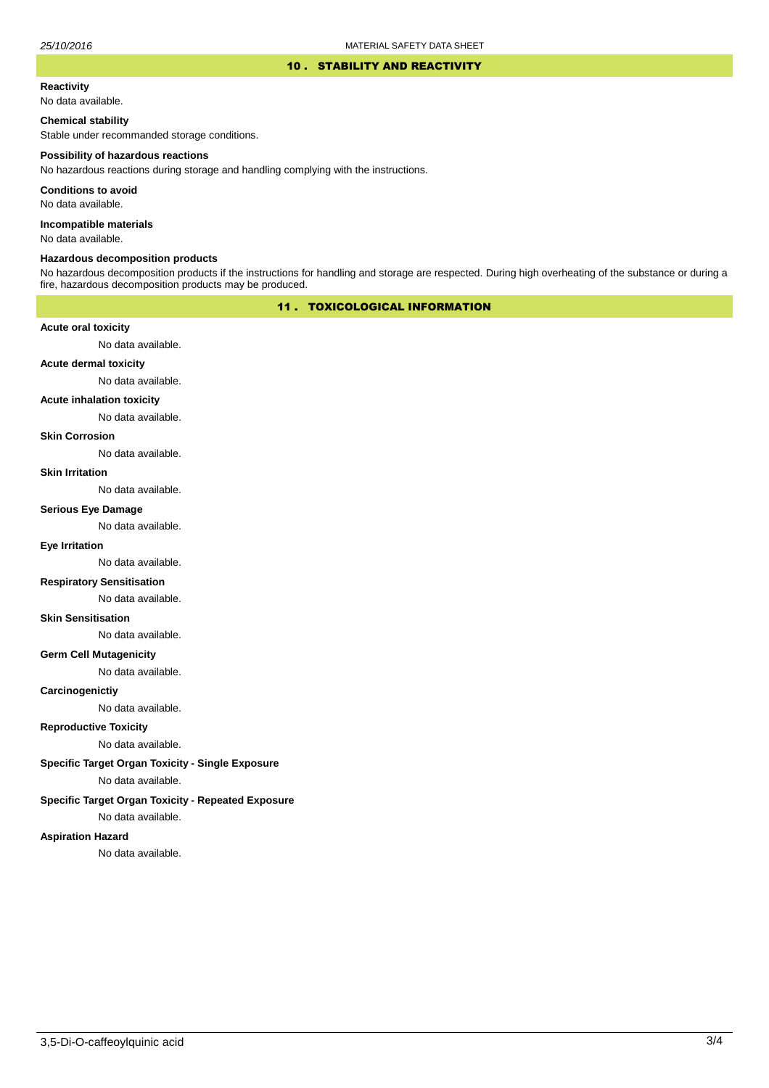#### 10 . STABILITY AND REACTIVITY

# **Reactivity**

No data available.

## **Chemical stability**

Stable under recommanded storage conditions.

#### **Possibility of hazardous reactions**

No hazardous reactions during storage and handling complying with the instructions.

**Conditions to avoid**

No data available.

**Incompatible materials**

No data available.

#### **Hazardous decomposition products**

No hazardous decomposition products if the instructions for handling and storage are respected. During high overheating of the substance or during a fire, hazardous decomposition products may be produced.

# 11 . TOXICOLOGICAL INFORMATION

## **Acute oral toxicity**

No data available.

# **Acute dermal toxicity**

No data available.

## **Acute inhalation toxicity**

No data available.

## **Skin Corrosion**

No data available.

#### **Skin Irritation**

No data available.

#### **Serious Eye Damage**

No data available.

# **Eye Irritation**

No data available.

## **Respiratory Sensitisation**

No data available.

#### **Skin Sensitisation**

No data available.

## **Germ Cell Mutagenicity**

No data available.

## **Carcinogenictiy**

No data available.

# **Reproductive Toxicity**

No data available.

# **Specific Target Organ Toxicity - Single Exposure**

No data available.

## **Specific Target Organ Toxicity - Repeated Exposure**

No data available.

#### **Aspiration Hazard**

No data available.